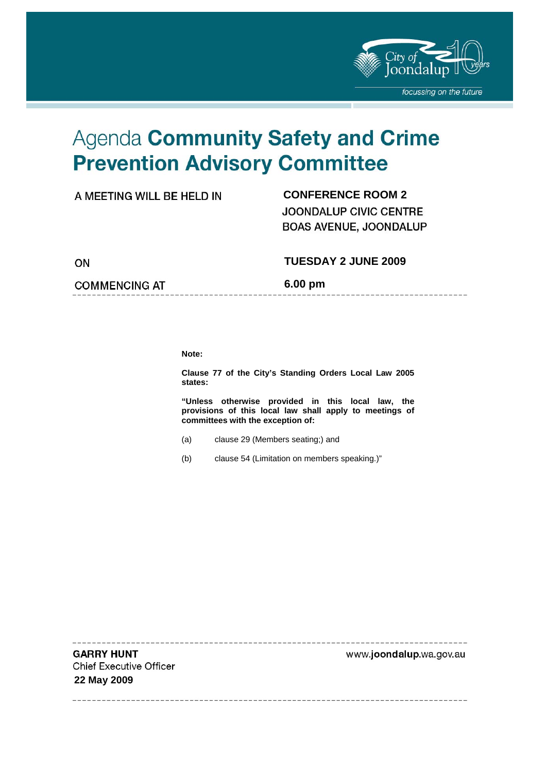

-------------------

# Agenda Community Safety and Crime **Prevention Advisory Committee**

| A MEETING WILL BE HELD IN |  |
|---------------------------|--|
|---------------------------|--|

# **CONFERENCE ROOM 2 JOONDALUP CIVIC CENTRE BOAS AVENUE, JOONDALUP**

ON

#### **TUESDAY 2 JUNE 2009**

**COMMENCING AT** 

**6.00 pm** 

**Note:** 

**Clause 77 of the City's Standing Orders Local Law 2005 states:** 

**"Unless otherwise provided in this local law, the provisions of this local law shall apply to meetings of committees with the exception of:** 

- (a) clause 29 (Members seating;) and
- (b) clause 54 (Limitation on members speaking.)"

**GARRY HUNT Chief Executive Officer 22 May 2009** 

www.joondalup.wa.gov.au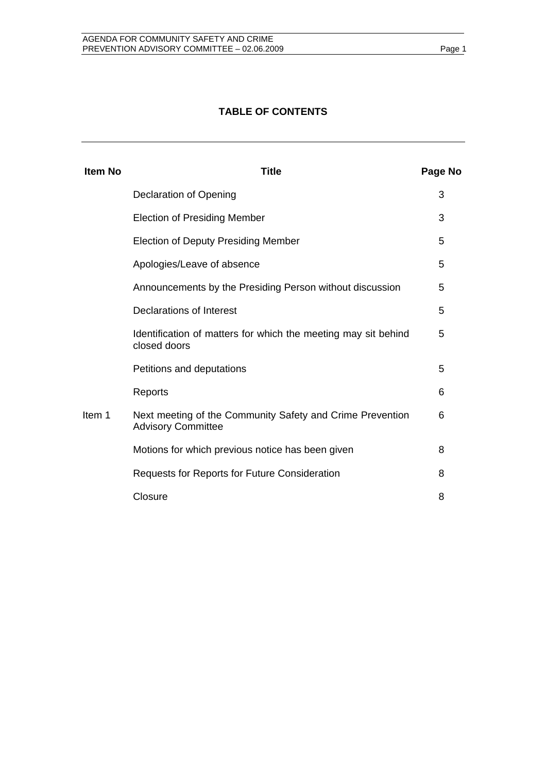### **TABLE OF CONTENTS**

| <b>Item No</b> | <b>Title</b>                                                                           | Page No |
|----------------|----------------------------------------------------------------------------------------|---------|
|                | <b>Declaration of Opening</b>                                                          | 3       |
|                | <b>Election of Presiding Member</b>                                                    | 3       |
|                | <b>Election of Deputy Presiding Member</b>                                             | 5       |
|                | Apologies/Leave of absence                                                             | 5       |
|                | Announcements by the Presiding Person without discussion                               | 5       |
|                | Declarations of Interest                                                               | 5       |
|                | Identification of matters for which the meeting may sit behind<br>closed doors         | 5       |
|                | Petitions and deputations                                                              | 5       |
|                | Reports                                                                                | 6       |
| Item 1         | Next meeting of the Community Safety and Crime Prevention<br><b>Advisory Committee</b> | 6       |
|                | Motions for which previous notice has been given                                       | 8       |
|                | Requests for Reports for Future Consideration                                          | 8       |
|                | Closure                                                                                | 8       |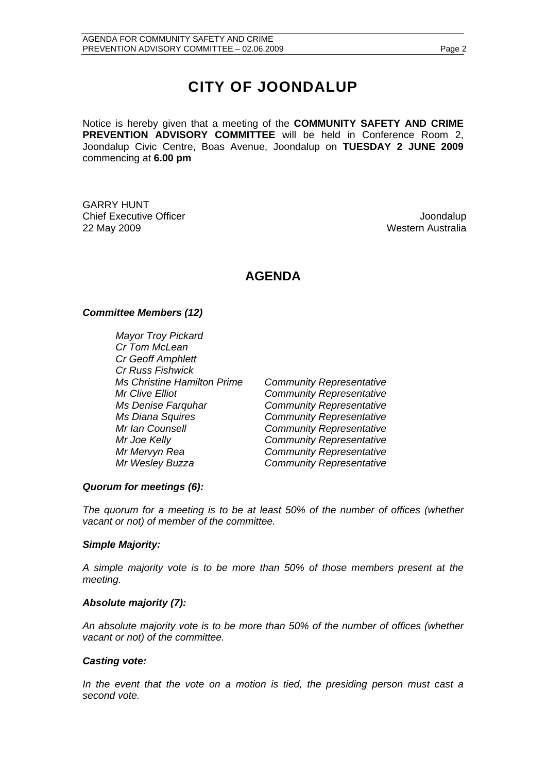# **CITY OF JOONDALUP**

Notice is hereby given that a meeting of the **COMMUNITY SAFETY AND CRIME PREVENTION ADVISORY COMMITTEE** will be held in Conference Room 2, Joondalup Civic Centre, Boas Avenue, Joondalup on **TUESDAY 2 JUNE 2009**  commencing at **6.00 pm** 

GARRY HUNT **Chief Executive Officer Chief Executive Officer Joseph According to the Chief Executive Officer Joondalup** 22 May 2009 Western Australia

# **AGENDA**

#### *Committee Members (12)*

*Mayor Troy Pickard Cr Tom McLean Cr Geoff Amphlett Cr Russ Fishwick Ms Christine Hamilton Prime Community Representative Mr Clive Elliot Community Representative Ms Denise Farquhar Community Representative Ms Diana Squires Community Representative Mr Ian Counsell Community Representative Mr Joe Kelly Community Representative Mr Mervyn Rea Community Representative Mr Wesley Buzza Community Representative* 

#### *Quorum for meetings (6):*

*The quorum for a meeting is to be at least 50% of the number of offices (whether vacant or not) of member of the committee.* 

#### *Simple Majority:*

*A simple majority vote is to be more than 50% of those members present at the meeting.* 

#### *Absolute majority (7):*

*An absolute majority vote is to be more than 50% of the number of offices (whether vacant or not) of the committee.* 

#### *Casting vote:*

*In the event that the vote on a motion is tied, the presiding person must cast a second vote.*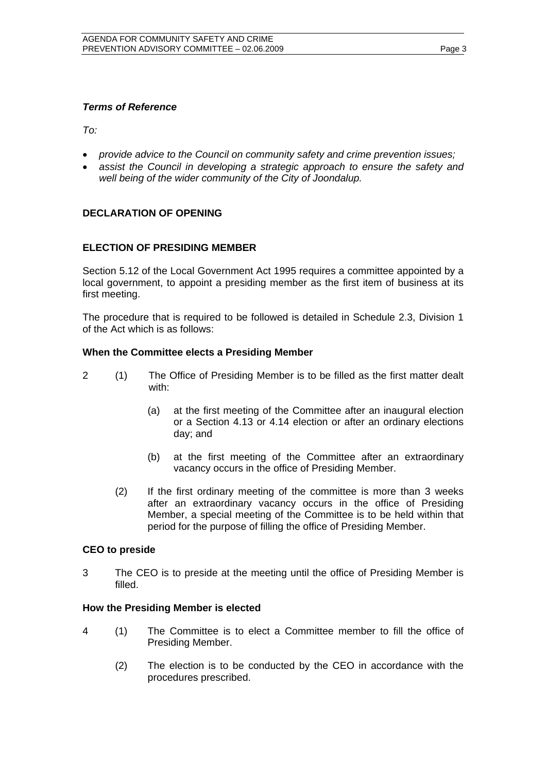#### *Terms of Reference*

*To:* 

- *provide advice to the Council on community safety and crime prevention issues;*
- *assist the Council in developing a strategic approach to ensure the safety and well being of the wider community of the City of Joondalup.*

#### **DECLARATION OF OPENING**

#### **ELECTION OF PRESIDING MEMBER**

Section 5.12 of the Local Government Act 1995 requires a committee appointed by a local government, to appoint a presiding member as the first item of business at its first meeting.

The procedure that is required to be followed is detailed in Schedule 2.3, Division 1 of the Act which is as follows:

#### **When the Committee elects a Presiding Member**

- 2 (1) The Office of Presiding Member is to be filled as the first matter dealt with:
	- (a) at the first meeting of the Committee after an inaugural election or a Section 4.13 or 4.14 election or after an ordinary elections day; and
	- (b) at the first meeting of the Committee after an extraordinary vacancy occurs in the office of Presiding Member.
	- (2) If the first ordinary meeting of the committee is more than 3 weeks after an extraordinary vacancy occurs in the office of Presiding Member, a special meeting of the Committee is to be held within that period for the purpose of filling the office of Presiding Member.

#### **CEO to preside**

3 The CEO is to preside at the meeting until the office of Presiding Member is filled.

#### **How the Presiding Member is elected**

- 4 (1) The Committee is to elect a Committee member to fill the office of Presiding Member.
	- (2) The election is to be conducted by the CEO in accordance with the procedures prescribed.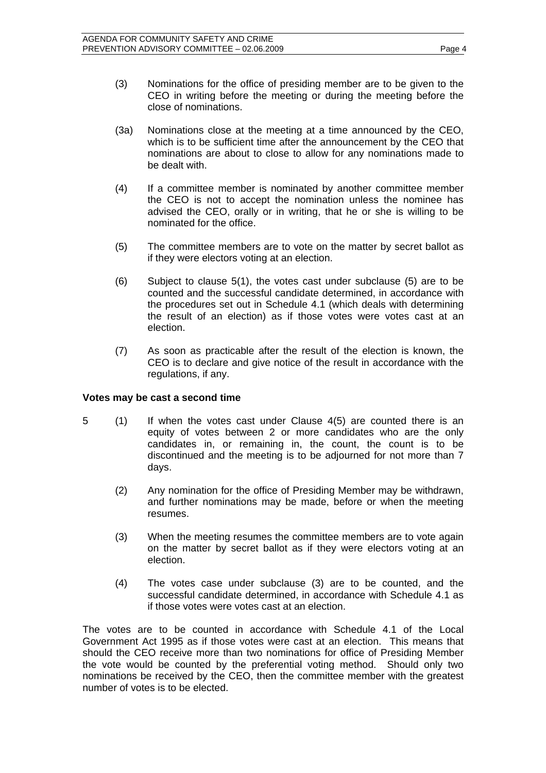- (3) Nominations for the office of presiding member are to be given to the CEO in writing before the meeting or during the meeting before the close of nominations.
- (3a) Nominations close at the meeting at a time announced by the CEO, which is to be sufficient time after the announcement by the CEO that nominations are about to close to allow for any nominations made to be dealt with.
- (4) If a committee member is nominated by another committee member the CEO is not to accept the nomination unless the nominee has advised the CEO, orally or in writing, that he or she is willing to be nominated for the office.
- (5) The committee members are to vote on the matter by secret ballot as if they were electors voting at an election.
- (6) Subject to clause 5(1), the votes cast under subclause (5) are to be counted and the successful candidate determined, in accordance with the procedures set out in Schedule 4.1 (which deals with determining the result of an election) as if those votes were votes cast at an election.
- (7) As soon as practicable after the result of the election is known, the CEO is to declare and give notice of the result in accordance with the regulations, if any.

#### **Votes may be cast a second time**

- 5 (1) If when the votes cast under Clause 4(5) are counted there is an equity of votes between 2 or more candidates who are the only candidates in, or remaining in, the count, the count is to be discontinued and the meeting is to be adjourned for not more than 7 days.
	- (2) Any nomination for the office of Presiding Member may be withdrawn, and further nominations may be made, before or when the meeting resumes.
	- (3) When the meeting resumes the committee members are to vote again on the matter by secret ballot as if they were electors voting at an election.
	- (4) The votes case under subclause (3) are to be counted, and the successful candidate determined, in accordance with Schedule 4.1 as if those votes were votes cast at an election.

The votes are to be counted in accordance with Schedule 4.1 of the Local Government Act 1995 as if those votes were cast at an election. This means that should the CEO receive more than two nominations for office of Presiding Member the vote would be counted by the preferential voting method. Should only two nominations be received by the CEO, then the committee member with the greatest number of votes is to be elected.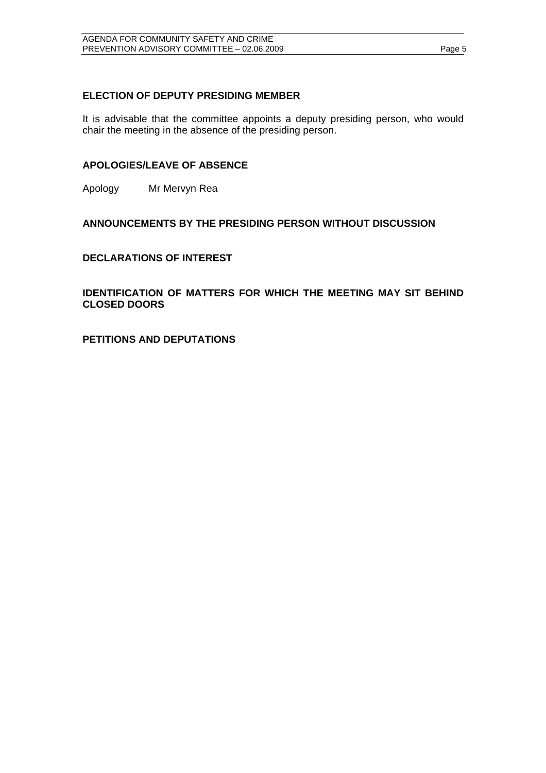#### **ELECTION OF DEPUTY PRESIDING MEMBER**

It is advisable that the committee appoints a deputy presiding person, who would chair the meeting in the absence of the presiding person.

#### **APOLOGIES/LEAVE OF ABSENCE**

Apology Mr Mervyn Rea

#### **ANNOUNCEMENTS BY THE PRESIDING PERSON WITHOUT DISCUSSION**

#### **DECLARATIONS OF INTEREST**

**IDENTIFICATION OF MATTERS FOR WHICH THE MEETING MAY SIT BEHIND CLOSED DOORS** 

**PETITIONS AND DEPUTATIONS**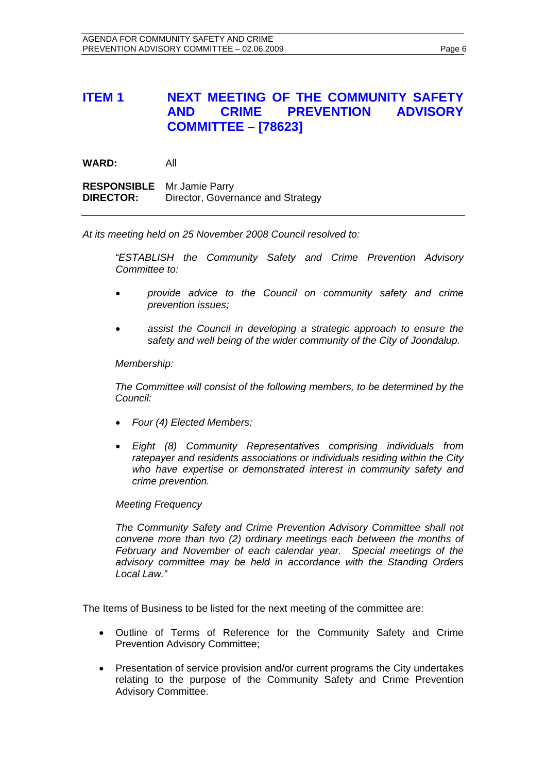# **ITEM 1 NEXT MEETING OF THE COMMUNITY SAFETY AND CRIME PREVENTION ADVISORY COMMITTEE – [78623]**

**WARD:** All **RESPONSIBLE** Mr Jamie Parry **DIRECTOR:** Director, Governance and Strategy

*At its meeting held on 25 November 2008 Council resolved to:* 

*"ESTABLISH the Community Safety and Crime Prevention Advisory Committee to:* 

- *provide advice to the Council on community safety and crime prevention issues;*
- *assist the Council in developing a strategic approach to ensure the safety and well being of the wider community of the City of Joondalup.*

 *Membership:* 

 *The Committee will consist of the following members, to be determined by the Council:* 

- *Four (4) Elected Members;*
- *Eight (8) Community Representatives comprising individuals from ratepayer and residents associations or individuals residing within the City who have expertise or demonstrated interest in community safety and crime prevention.*

#### *Meeting Frequency*

*The Community Safety and Crime Prevention Advisory Committee shall not convene more than two (2) ordinary meetings each between the months of February and November of each calendar year. Special meetings of the advisory committee may be held in accordance with the Standing Orders Local Law."* 

The Items of Business to be listed for the next meeting of the committee are:

- Outline of Terms of Reference for the Community Safety and Crime Prevention Advisory Committee;
- Presentation of service provision and/or current programs the City undertakes relating to the purpose of the Community Safety and Crime Prevention Advisory Committee.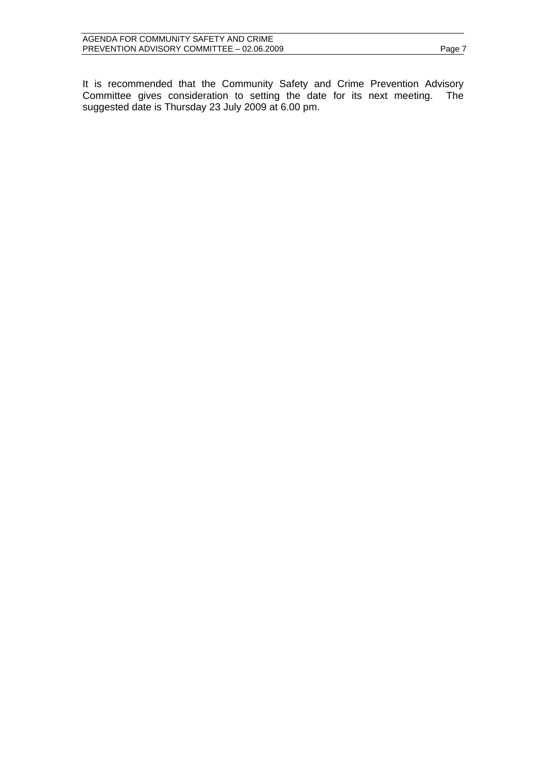It is recommended that the Community Safety and Crime Prevention Advisory Committee gives consideration to setting the date for its next meeting. The suggested date is Thursday 23 July 2009 at 6.00 pm.